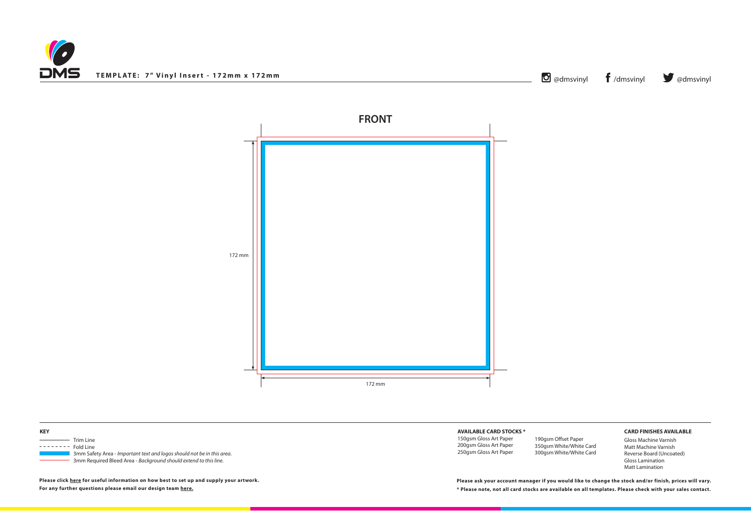



## **AVAILABLE CARD STOCKS \***

150gsm Gloss Art Paper 200gsm Gloss Art Paper 250gsm Gloss Art Paper

## **CARD FINISHES AVAILABLE**

Gloss Machine Varnish Matt Machine Varnish Reverse Board (Uncoated) Gloss Lamination Matt Lamination

| <b>KEY</b> |                                                                        |  |
|------------|------------------------------------------------------------------------|--|
|            | Trim Line                                                              |  |
|            | Fold Line                                                              |  |
|            | 3mm Safety Area - Important text and logos should not be in this area. |  |
|            | 3mm Required Bleed Area - Background should extend to this line.       |  |

**\* Please note, not all card stocks are available on all templates. Please check with your sales contact. Please ask your account manager if you would like to change the stock and/or finish, prices will vary.**

**Please click [here](http://www.discmanufacturingservices.com/vinyl/templates#artwork-specifications) for useful information on how best to set up and supply your artwork. For any further questions please email our design team [here](mailto:graphics%40discmanufacturingservices.com?subject=Template%20Enquiry).**

190gsm Offset Paper 350gsm White/White Card 300gsm White/White Card